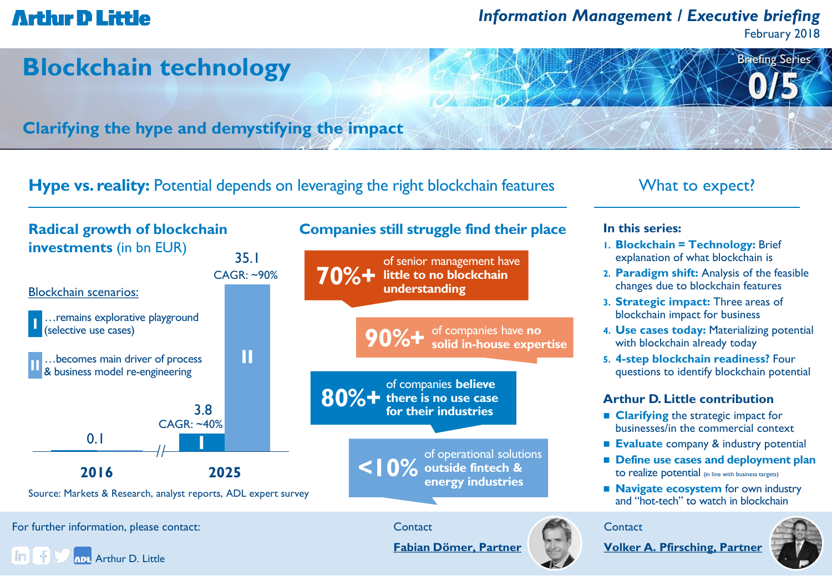### *Information Management / Executive briefing*

February 2018

Briefing Series

**0/5**



**Clarifying the hype and demystifying the impact**

**Hype vs. reality:** Potential depends on leveraging the right blockchain features What to expect?



For further information, please contact:







**In this series: 1. Blockchain = Technology:** Brief explanation of what blockchain is **2. Paradigm shift:** Analysis of the feasible changes due to blockchain features **3. Strategic impact:** Three areas of blockchain impact for business **4. Use cases today:** Materializing potential with blockchain already today **5. 4-step blockchain readiness?** Four questions to identify blockchain potential **Arthur D. Little contribution**

- 
- **Clarifying the strategic impact for** businesses/in the commercial context
- **Evaluate** company & industry potential
- **Define use cases and deployment plan**  to realize potential (in line with business targets)
- **Navigate ecosystem** for own industry and "hot-tech" to watch in blockchain

**Contact** 



**[Fabian Dömer, Partner](mailto:doemer.fabian@adlittle.com?subject=Blockchain technology)**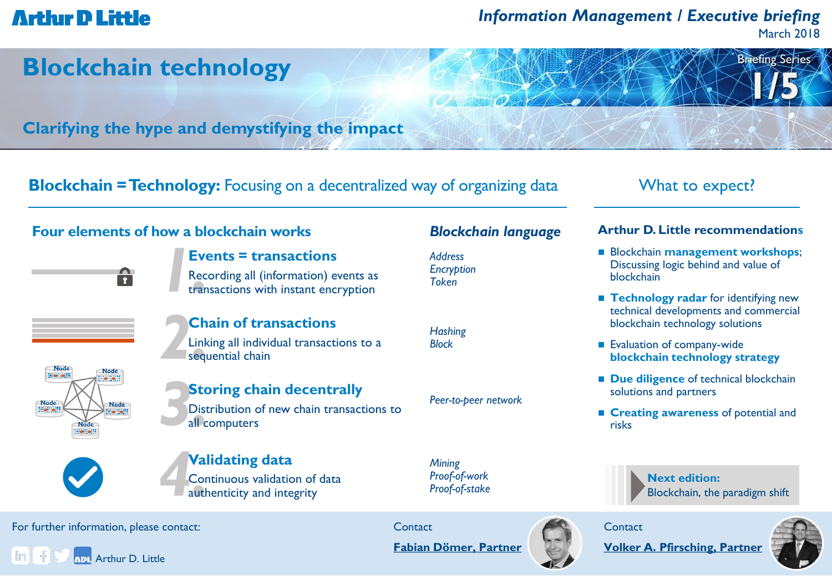## *Information Management / Executive briefing*

March 2018

Briefing Series

**1/5**

## **Blockchain technology**

**Clarifying the hype and demystifying the impact**

**Blockchain = Technology:** Focusing on a decentralized way of organizing data What to expect?

### **Four elements of how a blockchain works**

A



*2.***Chain of transactions** Linking all individual transactions to a sequential chain



### **Storing chain decentrally**

Distribution of new chain transactions to all computers



#### *4.***Validating data** Continuous validation of data authenticity and integrity

**Contact** 

*Mining Proof-of-work Proof-of-stake*



### **Contact**

**[Volker A. Pfirsching, Partner](mailto:pfirsching.volker@adlittle.com?subject=Blockchain technology)**



#### For further information, please contact:



### *Blockchain language*

*Address Encryption Token*

*Hashing Block*

*Peer-to-peer network*

# **Arthur D. Little recommendations**

- **Blockchain management workshops;** Discussing logic behind and value of blockchain
- **Technology radar** for identifying new technical developments and commercial blockchain technology solutions
- Evaluation of company-wide **blockchain technology strategy**
- **Due diligence** of technical blockchain solutions and partners
- **Exercise 2 Creating awareness of potential and** risks

Blockchain, the paradigm shift

**Next edition:**

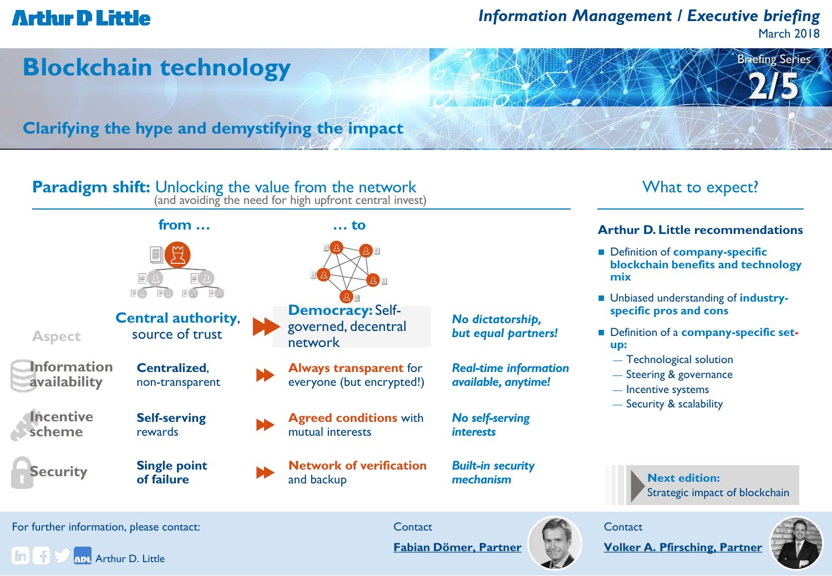## *Information Management / Executive briefing*

March 2018

Briefing Series

**2/5**

## **Blockchain technology**

**Clarifying the hype and demystifying the impact**



in. **ADI** Arthur D. Little **[Fabian Dömer, Partner](mailto:doemer.fabian@adlittle.com?subject=Blockchain technology)**



**[Volker A. Pfirsching, Partner](mailto:pfirsching.volker@adlittle.com?subject=Blockchain technology)**

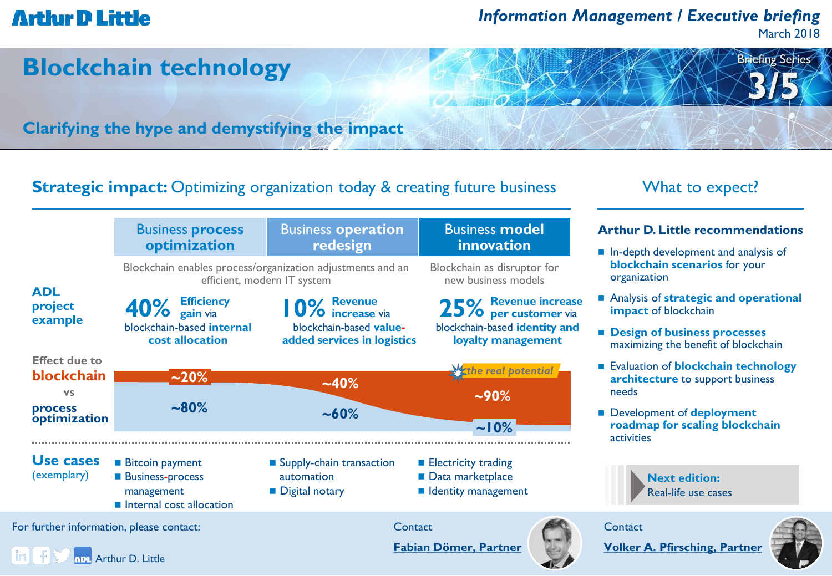## *Information Management / Executive briefing*

March 2018

Briefing Series

**3/5**

## **Blockchain technology**

**Clarifying the hype and demystifying the impact**

### **Strategic impact:** Optimizing organization today & creating future business What to expect?



#### **Arthur D. Little recommendations**

- **In-depth development and analysis of blockchain scenarios** for your organization
- Analysis of **strategic and operational impact** of blockchain
- **Design of business processes**  maximizing the benefit of blockchain
- Evaluation of **blockchain technology architecture** to support business needs
- Development of **deployment roadmap for scaling blockchain** activities

**Next edition:** Real-life use cases

**Contact** 

**[Volker A. Pfirsching, Partner](mailto:pfirsching.volker@adlittle.com?subject=Blockchain technology)**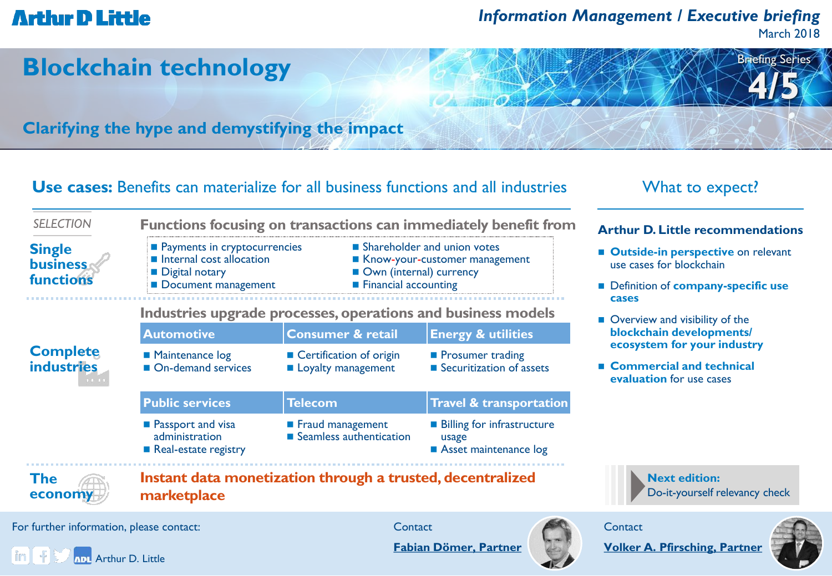## *Information Management / Executive briefing*

March 2018

Briefing Series

**4/5**

## **Blockchain technology**

**Clarifying the hype and demystifying the impact**

**Payments in cryptocurrencies Internal cost allocation** 

**Digital notary** 

### **Use cases:** Benefits can materialize for all business functions and all industries What to expect?

### **Arthur D. Little recommendations**

- **E** Outside-in perspective on relevant use cases for blockchain
- Definition of **company-specific use cases**
- Overview and visibility of the **blockchain developments/ ecosystem for your industry**
- **Commercial and technical evaluation** for use cases

**Next edition:** Do-it-yourself relevancy check



| Tunctions                     | Document management                                          |                                                 | <b>Financial accounting</b>                         |  |
|-------------------------------|--------------------------------------------------------------|-------------------------------------------------|-----------------------------------------------------|--|
|                               | Industries upgrade processes, operations and business models |                                                 |                                                     |  |
|                               | <b>Automotive</b>                                            | <b>Consumer &amp; retail</b>                    | <b>Energy &amp; utilities</b>                       |  |
| <b>Complete</b><br>industries | Maintenance log<br>On-demand services                        | ■ Certification of origin<br>Loyalty management | <b>Prosumer trading</b><br>Securitization of assets |  |

**Public services Telecom Travel & transportation Passport and visa** administration Fraud management ■ Seamless authentication **Billing for infrastructure** usage **Asset maintenance log** 

**Functions focusing on transactions can immediately benefit from**

Real-estate registry

**The economy**

**Single business functions**

*SELECTION*

**Instant data monetization through a trusted, decentralized marketplace**

For further information, please contact:

**ADI** Arthur D. Little

**Contact** 

**Shareholder and union votes** Know-your-customer management

■ Own (internal) currency

**[Fabian Dömer, Partner](mailto:doemer.fabian@adlittle.com?subject=Blockchain technology)**





**[Volker A. Pfirsching, Partner](mailto:pfirsching.volker@adlittle.com?subject=Blockchain technology)**